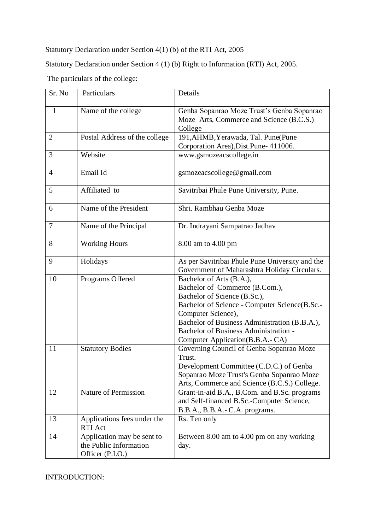Statutory Declaration under Section 4(1) (b) of the RTI Act, 2005

Statutory Declaration under Section 4 (1) (b) Right to Information (RTI) Act, 2005.

The particulars of the college:

| Sr. No         | Particulars                                                              | Details                                                                                                                                                                                                                                                                                        |  |
|----------------|--------------------------------------------------------------------------|------------------------------------------------------------------------------------------------------------------------------------------------------------------------------------------------------------------------------------------------------------------------------------------------|--|
| 1              | Name of the college                                                      | Genba Sopanrao Moze Trust's Genba Sopanrao<br>Moze Arts, Commerce and Science (B.C.S.)<br>College                                                                                                                                                                                              |  |
| $\overline{2}$ | Postal Address of the college                                            | 191, AHMB, Yerawada, Tal. Pune(Pune<br>Corporation Area), Dist. Pune- 411006.                                                                                                                                                                                                                  |  |
| 3              | Website                                                                  | www.gsmozeacscollege.in                                                                                                                                                                                                                                                                        |  |
| $\overline{4}$ | Email Id                                                                 | gsmozeacscollege@gmail.com                                                                                                                                                                                                                                                                     |  |
| 5              | Affiliated to                                                            | Savitribai Phule Pune University, Pune.                                                                                                                                                                                                                                                        |  |
| 6              | Name of the President                                                    | Shri. Rambhau Genba Moze                                                                                                                                                                                                                                                                       |  |
| 7              | Name of the Principal                                                    | Dr. Indrayani Sampatrao Jadhav                                                                                                                                                                                                                                                                 |  |
| 8              | <b>Working Hours</b>                                                     | 8.00 am to 4.00 pm                                                                                                                                                                                                                                                                             |  |
| 9              | Holidays                                                                 | As per Savitribai Phule Pune University and the<br>Government of Maharashtra Holiday Circulars.                                                                                                                                                                                                |  |
| 10             | Programs Offered                                                         | Bachelor of Arts (B.A.),<br>Bachelor of Commerce (B.Com.),<br>Bachelor of Science (B.Sc.),<br>Bachelor of Science - Computer Science(B.Sc.-<br>Computer Science),<br>Bachelor of Business Administration (B.B.A.),<br>Bachelor of Business Administration -<br>Computer Application(B.B.A.-CA) |  |
| 11             | <b>Statutory Bodies</b>                                                  | Governing Council of Genba Sopanrao Moze<br>Trust.<br>Development Committee (C.D.C.) of Genba<br>Sopanrao Moze Trust's Genba Sopanrao Moze<br>Arts, Commerce and Science (B.C.S.) College.                                                                                                     |  |
| 12             | Nature of Permission                                                     | Grant-in-aid B.A., B.Com. and B.Sc. programs<br>and Self-financed B.Sc.-Computer Science,<br>B.B.A., B.B.A.- C.A. programs.                                                                                                                                                                    |  |
| 13             | Applications fees under the<br>RTI Act                                   | Rs. Ten only                                                                                                                                                                                                                                                                                   |  |
| 14             | Application may be sent to<br>the Public Information<br>Officer (P.I.O.) | Between 8.00 am to 4.00 pm on any working<br>day.                                                                                                                                                                                                                                              |  |

INTRODUCTION: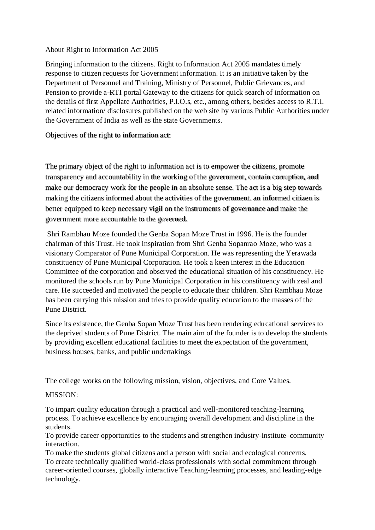## About Right to Information Act 2005

Bringing information to the citizens. Right to Information Act 2005 mandates timely response to citizen requests for Government information. It is an initiative taken by the Department of Personnel and Training, Ministry of Personnel, Public Grievances, and Pension to provide a-RTI portal Gateway to the citizens for quick search of information on the details of first Appellate Authorities, P.I.O.s, etc., among others, besides access to R.T.I. related information/ disclosures published on the web site by various Public Authorities under the Government of India as well as the state Governments.

Objectives of the right to information act:

The primary object of the right to information act is to empower the citizens, promote transparency and accountability in the working of the government, contain corruption, and make our democracy work for the people in an absolute sense. The act is a big step towards making the citizens informed about the activities of the government. an informed citizen is better equipped to keep necessary vigil on the instruments of governance and make the government more accountable to the governed.

Shri Rambhau Moze founded the Genba Sopan Moze Trust in 1996. He is the founder chairman of this Trust. He took inspiration from Shri Genba Sopanrao Moze, who was a visionary Comparator of Pune Municipal Corporation. He was representing the Yerawada constituency of Pune Municipal Corporation. He took a keen interest in the Education Committee of the corporation and observed the educational situation of his constituency. He monitored the schools run by Pune Municipal Corporation in his constituency with zeal and care. He succeeded and motivated the people to educate their children. Shri Rambhau Moze has been carrying this mission and tries to provide quality education to the masses of the Pune District.

Since its existence, the Genba Sopan Moze Trust has been rendering educational services to the deprived students of Pune District. The main aim of the founder is to develop the students by providing excellent educational facilities to meet the expectation of the government, business houses, banks, and public undertakings

The college works on the following mission, vision, objectives, and Core Values.

## MISSION:

To impart quality education through a practical and well-monitored teaching-learning process. To achieve excellence by encouraging overall development and discipline in the students.

To provide career opportunities to the students and strengthen industry-institute–community interaction.

To make the students global citizens and a person with social and ecological concerns. To create technically qualified world-class professionals with social commitment through career-oriented courses, globally interactive Teaching-learning processes, and leading-edge technology.